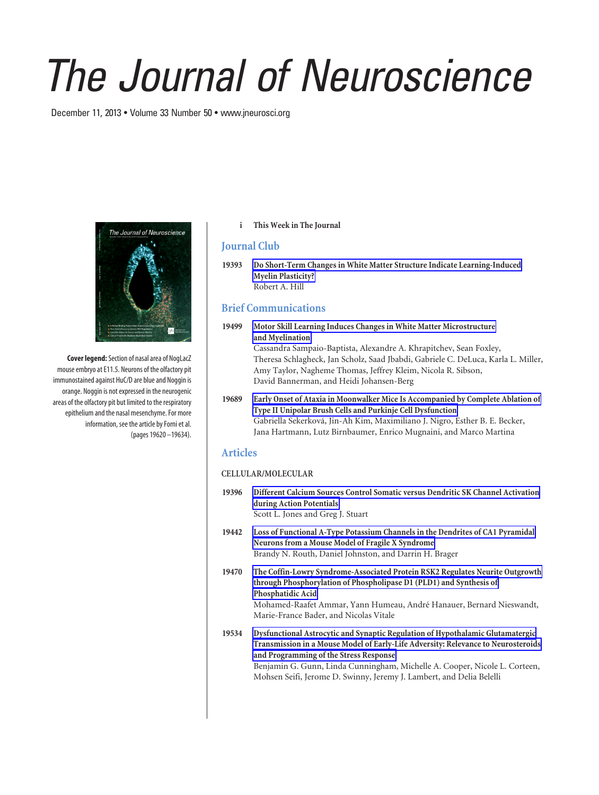# *The Journal of Neuroscience*

December 11, 2013 • Volume 33 Number 50 • www.jneurosci.org



**Cover legend:**Section of nasal area of NogLacZ mouse embryo at E11.5. Neurons of the olfactory pit immunostained against HuC/D are blue and Noggin is orange. Noggin is not expressed in the neurogenic areas of the olfactory pit but limited to the respiratory epithelium and the nasal mesenchyme. For more information, see the article by Forni et al. (pages 19620 –19634).

#### **i This Week in The Journal**

## **Journal Club**

**19393 Do Short-Term Changes in White Matter Structure Indicate Learning-Induced Myelin Plasticity?** Robert A. Hill

# **Brief Communications**

#### **19499 Motor Skill Learning Induces Changes in White Matter Microstructure and Myelination** Cassandra Sampaio-Baptista, Alexandre A. Khrapitchev, Sean Foxley, Theresa Schlagheck, Jan Scholz, Saad Jbabdi, Gabriele C. DeLuca, Karla L. Miller, Amy Taylor, Nagheme Thomas, Jeffrey Kleim, Nicola R. Sibson, David Bannerman, and Heidi Johansen-Berg

#### **19689 Early Onset of Ataxia in Moonwalker Mice Is Accompanied by Complete Ablation of Type II Unipolar Brush Cells and Purkinje Cell Dysfunction** Gabriella Sekerkova´, Jin-Ah Kim, Maximiliano J. Nigro, Esther B. E. Becker, Jana Hartmann, Lutz Birnbaumer, Enrico Mugnaini, and Marco Martina

## **Articles**

#### **CELLULAR/MOLECULAR**

- **19396 Different Calcium Sources Control Somatic versus Dendritic SK Channel Activation during Action Potentials** Scott L. Jones and Greg J. Stuart
- **19442 Loss of Functional A-Type Potassium Channels in the Dendrites of CA1 Pyramidal Neurons from a Mouse Model of Fragile X Syndrome** Brandy N. Routh, Daniel Johnston, and Darrin H. Brager
- **19470 The Coffin-Lowry Syndrome-Associated Protein RSK2 Regulates Neurite Outgrowth through Phosphorylation of Phospholipase D1 (PLD1) and Synthesis of Phosphatidic Acid** Mohamed-Raafet Ammar, Yann Humeau, André Hanauer, Bernard Nieswandt, Marie-France Bader, and Nicolas Vitale
- **19534 Dysfunctional Astrocytic and Synaptic Regulation of Hypothalamic Glutamatergic Transmission in a Mouse Model of Early-Life Adversity: Relevance to Neurosteroids and Programming of the Stress Response** Benjamin G. Gunn, Linda Cunningham, Michelle A. Cooper, Nicole L. Corteen, Mohsen Seifi, Jerome D. Swinny, Jeremy J. Lambert, and Delia Belelli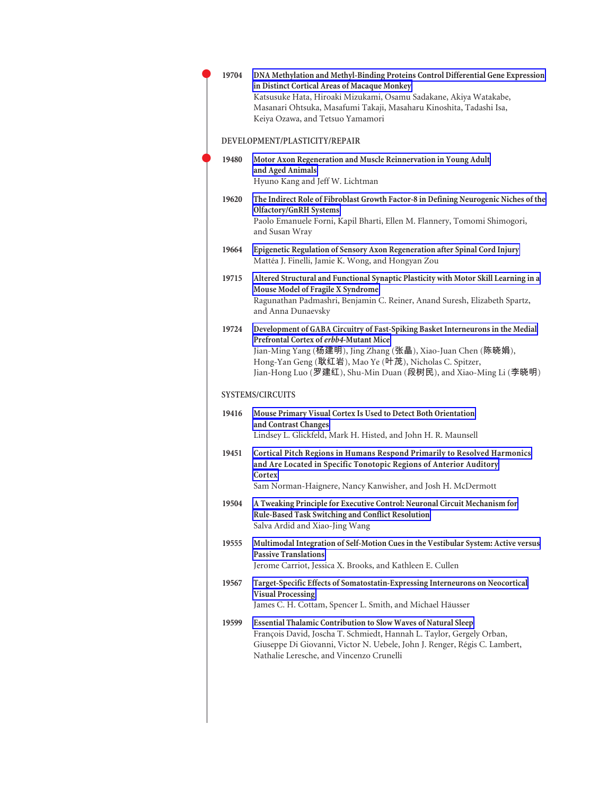| 19704 | DNA Methylation and Methyl-Binding Proteins Control Differential Gene Expression<br>in Distinct Cortical Areas of Macaque Monkey<br>Katsusuke Hata, Hiroaki Mizukami, Osamu Sadakane, Akiya Watakabe,<br>Masanari Ohtsuka, Masafumi Takaji, Masaharu Kinoshita, Tadashi Isa,<br>Keiya Ozawa, and Tetsuo Yamamori       |
|-------|------------------------------------------------------------------------------------------------------------------------------------------------------------------------------------------------------------------------------------------------------------------------------------------------------------------------|
|       | DEVELOPMENT/PLASTICITY/REPAIR                                                                                                                                                                                                                                                                                          |
| 19480 | Motor Axon Regeneration and Muscle Reinnervation in Young Adult<br>and Aged Animals<br>Hyuno Kang and Jeff W. Lichtman                                                                                                                                                                                                 |
| 19620 | The Indirect Role of Fibroblast Growth Factor-8 in Defining Neurogenic Niches of the<br><b>Olfactory/GnRH Systems</b><br>Paolo Emanuele Forni, Kapil Bharti, Ellen M. Flannery, Tomomi Shimogori,<br>and Susan Wray                                                                                                    |
| 19664 | Epigenetic Regulation of Sensory Axon Regeneration after Spinal Cord Injury<br>Mattéa J. Finelli, Jamie K. Wong, and Hongyan Zou                                                                                                                                                                                       |
| 19715 | Altered Structural and Functional Synaptic Plasticity with Motor Skill Learning in a<br>Mouse Model of Fragile X Syndrome<br>Ragunathan Padmashri, Benjamin C. Reiner, Anand Suresh, Elizabeth Spartz,<br>and Anna Dunaevsky                                                                                           |
| 19724 | Development of GABA Circuitry of Fast-Spiking Basket Interneurons in the Medial<br>Prefrontal Cortex of erbb4-Mutant Mice<br>Jian-Ming Yang (杨建明), Jing Zhang (张晶), Xiao-Juan Chen (陈晓娟),<br>Hong-Yan Geng (耿红岩), Mao Ye (叶茂), Nicholas C. Spitzer,<br>Jian-Hong Luo (罗建红), Shu-Min Duan (段树民), and Xiao-Ming Li (李晓明) |
|       | <b>SYSTEMS/CIRCUITS</b>                                                                                                                                                                                                                                                                                                |
| 19416 | Mouse Primary Visual Cortex Is Used to Detect Both Orientation<br>and Contrast Changes<br>Lindsey L. Glickfeld, Mark H. Histed, and John H. R. Maunsell                                                                                                                                                                |
| 19451 | Cortical Pitch Regions in Humans Respond Primarily to Resolved Harmonics<br>and Are Located in Specific Tonotopic Regions of Anterior Auditory<br>Cortex<br>Sam Norman-Haignere, Nancy Kanwisher, and Josh H. McDermott                                                                                                |
| 19504 | A Tweaking Principle for Executive Control: Neuronal Circuit Mechanism for<br>Rule-Based Task Switching and Conflict Resolution<br>Salva Ardid and Xiao-Jing Wang                                                                                                                                                      |
| 19555 | Multimodal Integration of Self-Motion Cues in the Vestibular System: Active versus<br><b>Passive Translations</b><br>Jerome Carriot, Jessica X. Brooks, and Kathleen E. Cullen                                                                                                                                         |
| 19567 | Target-Specific Effects of Somatostatin-Expressing Interneurons on Neocortical<br><b>Visual Processing</b><br>James C. H. Cottam, Spencer L. Smith, and Michael Häusser                                                                                                                                                |
| 19599 | Essential Thalamic Contribution to Slow Waves of Natural Sleep<br>François David, Joscha T. Schmiedt, Hannah L. Taylor, Gergely Orban,<br>Giuseppe Di Giovanni, Victor N. Uebele, John J. Renger, Régis C. Lambert,<br>Nathalie Leresche, and Vincenzo Crunelli                                                        |
|       |                                                                                                                                                                                                                                                                                                                        |

 $\bullet$ 

 $\bullet$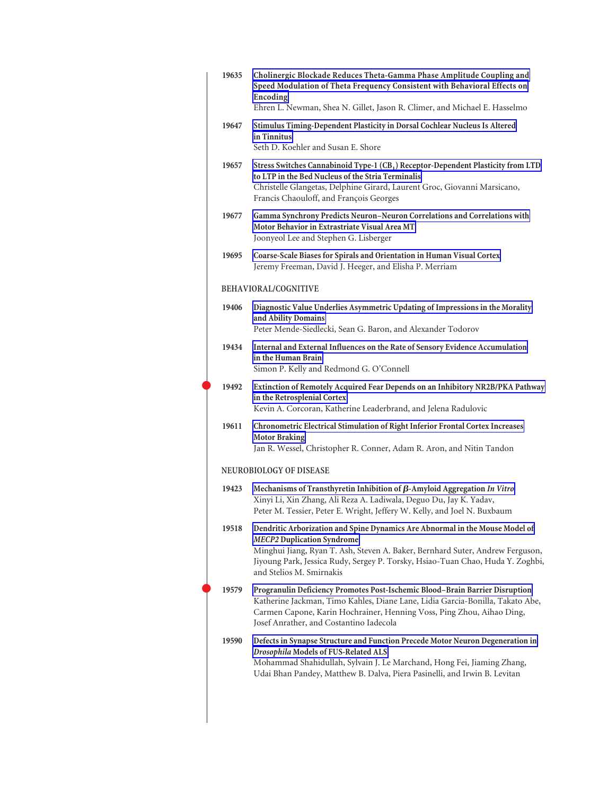| 19635 | Cholinergic Blockade Reduces Theta-Gamma Phase Amplitude Coupling and<br>Speed Modulation of Theta Frequency Consistent with Behavioral Effects on<br>Encoding<br>Ehren L. Newman, Shea N. Gillet, Jason R. Climer, and Michael E. Hasselmo                                                                      |
|-------|------------------------------------------------------------------------------------------------------------------------------------------------------------------------------------------------------------------------------------------------------------------------------------------------------------------|
| 19647 | Stimulus Timing-Dependent Plasticity in Dorsal Cochlear Nucleus Is Altered                                                                                                                                                                                                                                       |
|       | in Tinnitus<br>Seth D. Koehler and Susan E. Shore                                                                                                                                                                                                                                                                |
| 19657 | Stress Switches Cannabinoid Type-1 (CB <sub>1</sub> ) Receptor-Dependent Plasticity from LTD<br>to LTP in the Bed Nucleus of the Stria Terminalis<br>Christelle Glangetas, Delphine Girard, Laurent Groc, Giovanni Marsicano,<br>Francis Chaouloff, and François Georges                                         |
| 19677 | Gamma Synchrony Predicts Neuron-Neuron Correlations and Correlations with<br>Motor Behavior in Extrastriate Visual Area MT<br>Joonyeol Lee and Stephen G. Lisberger                                                                                                                                              |
| 19695 | Coarse-Scale Biases for Spirals and Orientation in Human Visual Cortex<br>Jeremy Freeman, David J. Heeger, and Elisha P. Merriam                                                                                                                                                                                 |
|       | BEHAVIORAL/COGNITIVE                                                                                                                                                                                                                                                                                             |
| 19406 | Diagnostic Value Underlies Asymmetric Updating of Impressions in the Morality<br>and Ability Domains<br>Peter Mende-Siedlecki, Sean G. Baron, and Alexander Todorov                                                                                                                                              |
| 19434 | Internal and External Influences on the Rate of Sensory Evidence Accumulation<br>in the Human Brain<br>Simon P. Kelly and Redmond G. O'Connell                                                                                                                                                                   |
| 19492 | Extinction of Remotely Acquired Fear Depends on an Inhibitory NR2B/PKA Pathway<br>in the Retrosplenial Cortex<br>Kevin A. Corcoran, Katherine Leaderbrand, and Jelena Radulovic                                                                                                                                  |
| 19611 | Chronometric Electrical Stimulation of Right Inferior Frontal Cortex Increases<br><b>Motor Braking</b><br>Jan R. Wessel, Christopher R. Conner, Adam R. Aron, and Nitin Tandon                                                                                                                                   |
|       | NEUROBIOLOGY OF DISEASE                                                                                                                                                                                                                                                                                          |
| 19423 | Mechanisms of Transthyretin Inhibition of $\beta$ -Amyloid Aggregation In Vitro<br>Xinyi Li, Xin Zhang, Ali Reza A. Ladiwala, Deguo Du, Jay K. Yadav,<br>Peter M. Tessier, Peter E. Wright, Jeffery W. Kelly, and Joel N. Buxbaum                                                                                |
| 19518 | Dendritic Arborization and Spine Dynamics Are Abnormal in the Mouse Model of<br><b>MECP2</b> Duplication Syndrome<br>Minghui Jiang, Ryan T. Ash, Steven A. Baker, Bernhard Suter, Andrew Ferguson,<br>Jiyoung Park, Jessica Rudy, Sergey P. Torsky, Hsiao-Tuan Chao, Huda Y. Zoghbi,<br>and Stelios M. Smirnakis |
| 19579 | Progranulin Deficiency Promotes Post-Ischemic Blood-Brain Barrier Disruption<br>Katherine Jackman, Timo Kahles, Diane Lane, Lidia Garcia-Bonilla, Takato Abe,<br>Carmen Capone, Karin Hochrainer, Henning Voss, Ping Zhou, Aihao Ding,<br>Josef Anrather, and Costantino Iadecola                                |
| 19590 | Defects in Synapse Structure and Function Precede Motor Neuron Degeneration in<br>Drosophila Models of FUS-Related ALS<br>Mohammad Shahidullah, Sylvain J. Le Marchand, Hong Fei, Jiaming Zhang,<br>Udai Bhan Pandey, Matthew B. Dalva, Piera Pasinelli, and Irwin B. Levitan                                    |
|       |                                                                                                                                                                                                                                                                                                                  |

 $\bullet$ 

 $\bullet$